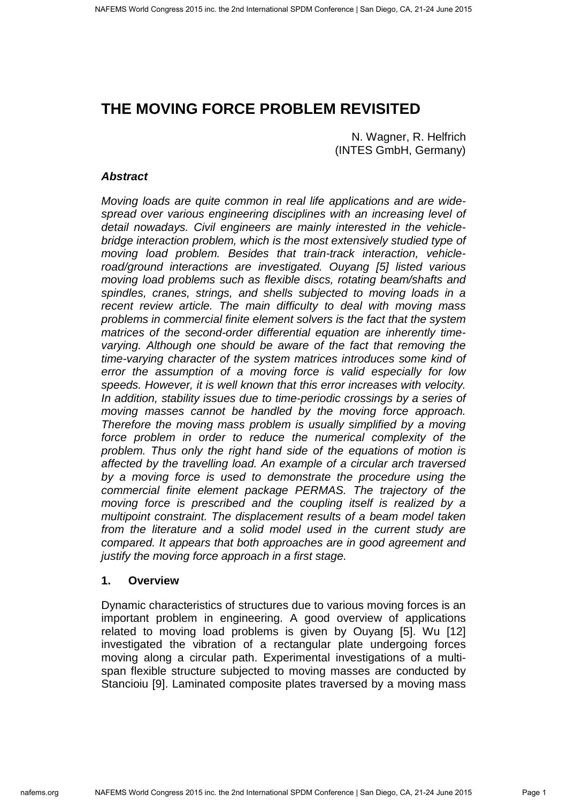# **THE MOVING FORCE PROBLEM REVISITED**

N. Wagner, R. Helfrich (INTES GmbH, Germany)

# **Abstract**

Moving loads are quite common in real life applications and are widespread over various engineering disciplines with an increasing level of detail nowadays. Civil engineers are mainly interested in the vehiclebridge interaction problem, which is the most extensively studied type of moving load problem. Besides that train-track interaction, vehicleroad/ground interactions are investigated. Ouyang [5] listed various moving load problems such as flexible discs, rotating beam/shafts and spindles, cranes, strings, and shells subjected to moving loads in a recent review article. The main difficulty to deal with moving mass problems in commercial finite element solvers is the fact that the system matrices of the second-order differential equation are inherently timevarying. Although one should be aware of the fact that removing the time-varying character of the system matrices introduces some kind of error the assumption of a moving force is valid especially for low speeds. However, it is well known that this error increases with velocity. In addition, stability issues due to time-periodic crossings by a series of moving masses cannot be handled by the moving force approach. Therefore the moving mass problem is usually simplified by a moving force problem in order to reduce the numerical complexity of the problem. Thus only the right hand side of the equations of motion is affected by the travelling load. An example of a circular arch traversed by a moving force is used to demonstrate the procedure using the commercial finite element package PERMAS. The trajectory of the moving force is prescribed and the coupling itself is realized by a multipoint constraint. The displacement results of a beam model taken from the literature and a solid model used in the current study are compared. It appears that both approaches are in good agreement and justify the moving force approach in a first stage.

# **1. Overview**

Dynamic characteristics of structures due to various moving forces is an important problem in engineering. A good overview of applications related to moving load problems is given by Ouyang [5]. Wu [12] investigated the vibration of a rectangular plate undergoing forces moving along a circular path. Experimental investigations of a multispan flexible structure subjected to moving masses are conducted by Stancioiu [9]. Laminated composite plates traversed by a moving mass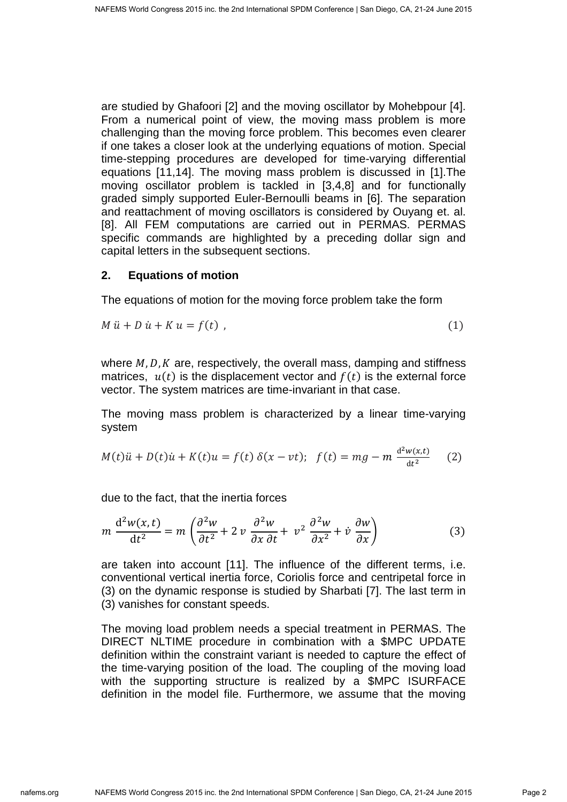are studied by Ghafoori [2] and the moving oscillator by Mohebpour [4]. From a numerical point of view, the moving mass problem is more challenging than the moving force problem. This becomes even clearer if one takes a closer look at the underlying equations of motion. Special time-stepping procedures are developed for time-varying differential equations [11,14]. The moving mass problem is discussed in [1].The moving oscillator problem is tackled in [3,4,8] and for functionally graded simply supported Euler-Bernoulli beams in [6]. The separation and reattachment of moving oscillators is considered by Ouyang et. al. [8]. All FEM computations are carried out in PERMAS. PERMAS specific commands are highlighted by a preceding dollar sign and capital letters in the subsequent sections.

# **2. Equations of motion**

The equations of motion for the moving force problem take the form

$$
M\ddot{u} + D\dot{u} + K\dot{u} = f(t) \tag{1}
$$

where  $M$ ,  $D$ ,  $K$  are, respectively, the overall mass, damping and stiffness matrices,  $u(t)$  is the displacement vector and  $f(t)$  is the external force vector. The system matrices are time-invariant in that case.

The moving mass problem is characterized by a linear time-varying system

$$
M(t)\ddot{u} + D(t)\dot{u} + K(t)u = f(t)\,\delta(x - vt); \quad f(t) = mg - m\,\frac{d^2w(x,t)}{dt^2} \tag{2}
$$

due to the fact, that the inertia forces

$$
m\,\frac{\mathrm{d}^2w(x,t)}{\mathrm{d}t^2} = m\left(\frac{\partial^2w}{\partial t^2} + 2\,v\,\frac{\partial^2w}{\partial x\,\partial t} + v^2\,\frac{\partial^2w}{\partial x^2} + v\,\frac{\partialw}{\partial x}\right) \tag{3}
$$

are taken into account [11]. The influence of the different terms, i.e. conventional vertical inertia force, Coriolis force and centripetal force in (3) on the dynamic response is studied by Sharbati [7]. The last term in (3) vanishes for constant speeds.

The moving load problem needs a special treatment in PERMAS. The DIRECT NLTIME procedure in combination with a \$MPC UPDATE definition within the constraint variant is needed to capture the effect of the time-varying position of the load. The coupling of the moving load with the supporting structure is realized by a \$MPC ISURFACE definition in the model file. Furthermore, we assume that the moving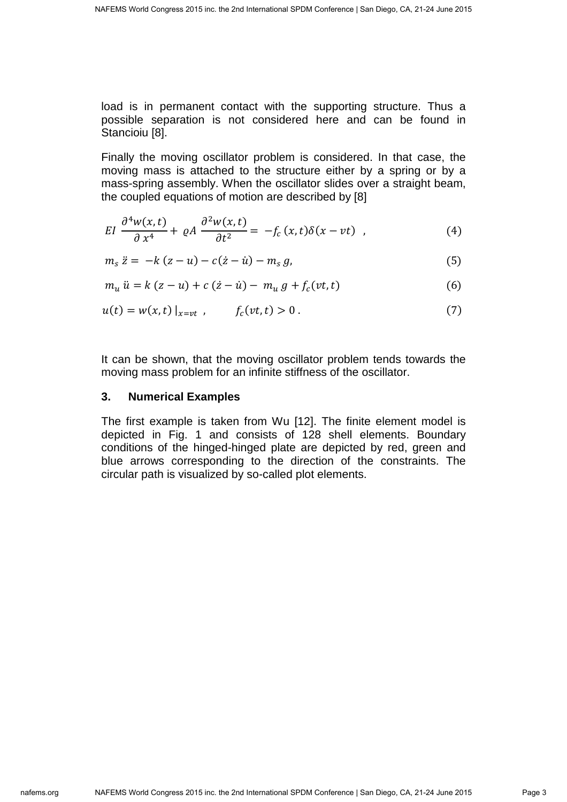load is in permanent contact with the supporting structure. Thus a possible separation is not considered here and can be found in Stancioiu [8].

Finally the moving oscillator problem is considered. In that case, the moving mass is attached to the structure either by a spring or by a mass-spring assembly. When the oscillator slides over a straight beam, the coupled equations of motion are described by [8]

$$
EI \frac{\partial^4 w(x,t)}{\partial x^4} + \varrho A \frac{\partial^2 w(x,t)}{\partial t^2} = -f_c(x,t)\delta(x-vt) , \qquad (4)
$$

$$
m_{s} \ddot{z} = -k(z - u) - c(\dot{z} - \dot{u}) - m_{s} g, \tag{5}
$$

$$
m_u \ddot{u} = k (z - u) + c (z - \dot{u}) - m_u g + f_c(vt, t)
$$
\n(6)

$$
u(t) = w(x, t) \big|_{x = vt} , \qquad f_c(vt, t) > 0 . \tag{7}
$$

It can be shown, that the moving oscillator problem tends towards the moving mass problem for an infinite stiffness of the oscillator.

#### **3. Numerical Examples**

The first example is taken from Wu [12]. The finite element model is depicted in Fig. 1 and consists of 128 shell elements. Boundary conditions of the hinged-hinged plate are depicted by red, green and blue arrows corresponding to the direction of the constraints. The circular path is visualized by so-called plot elements.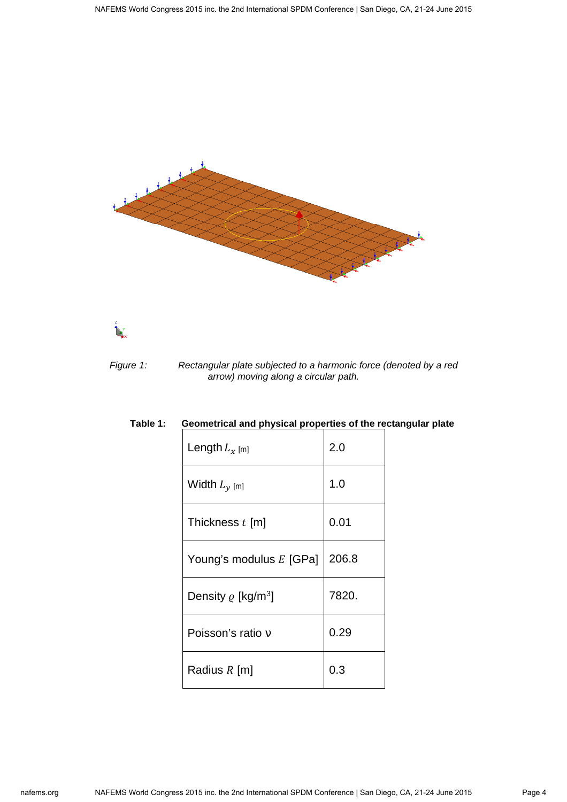



Figure 1: Rectangular plate subjected to a harmonic force (denoted by a red arrow) moving along a circular path.

| Length $L_x$ [m]                    | 2.0   |
|-------------------------------------|-------|
| Width $L_{\gamma}$ [m]              | 1.0   |
| Thickness $t$ [m]                   | 0.01  |
| Young's modulus E [GPa]             | 206.8 |
| Density $\rho$ [kg/m <sup>3</sup> ] | 7820. |
| Poisson's ratio y                   | 0.29  |
| Radius $R$ [m]                      | 0.3   |

# **Table 1: Geometrical and physical properties of the rectangular plate**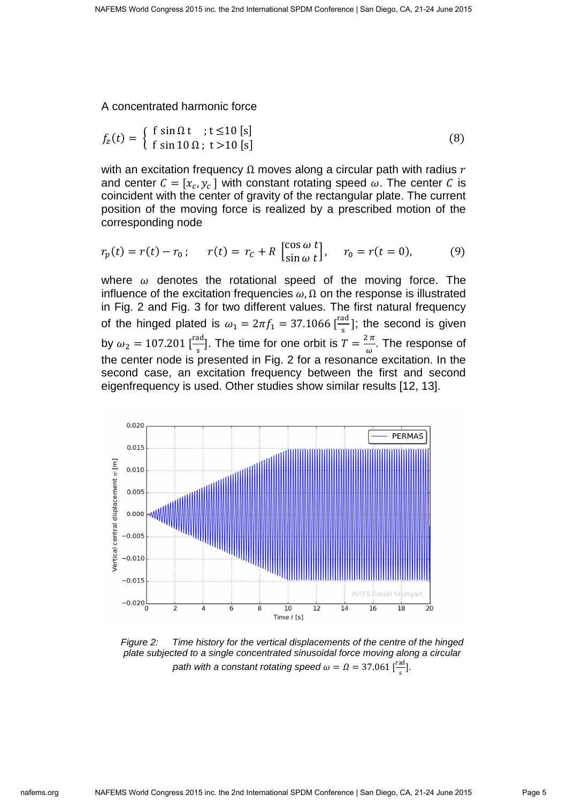A concentrated harmonic force

$$
f_z(t) = \begin{cases} \n\text{f } \sin \Omega \, \text{t } \quad \text{; } t \leq 10 \, \text{[s]} \\ \n\text{f } \sin 10 \, \Omega \quad \text{; } t > 10 \, \text{[s]} \n\end{cases} \tag{8}
$$

with an excitation frequency  $\Omega$  moves along a circular path with radius r and center  $C = [x_c, y_c]$  with constant rotating speed  $\omega$ . The center C is coincident with the center of gravity of the rectangular plate. The current position of the moving force is realized by a prescribed motion of the corresponding node

$$
r_p(t) = r(t) - r_0; \t r(t) = r_c + R \left[ \frac{\cos \omega t}{\sin \omega t} \right], \t r_0 = r(t = 0), \t (9)
$$

where  $\omega$  denotes the rotational speed of the moving force. The influence of the excitation frequencies  $\omega$ ,  $\Omega$  on the response is illustrated in Fig. 2 and Fig. 3 for two different values. The first natural frequency of the hinged plated is  $\omega_1 = 2\pi f_1 = 37.1066 \, [\frac{\text{rad}}{\text{s}}]$ ; the second is given by  $\omega_2 = 107.201 \left[ \frac{\text{rad}}{\text{s}} \right]$ . The time for one orbit is  $T = \frac{2\pi}{\omega}$ . The response of the center node is presented in Fig. 2 for a resonance excitation. In the second case, an excitation frequency between the first and second eigenfrequency is used. Other studies show similar results [12, 13].



Figure 2: Time history for the vertical displacements of the centre of the hinged plate subjected to a single concentrated sinusoidal force moving along a circular path with a constant rotating speed  $\omega = \Omega = 37.061 \frac{rad}{s}$ .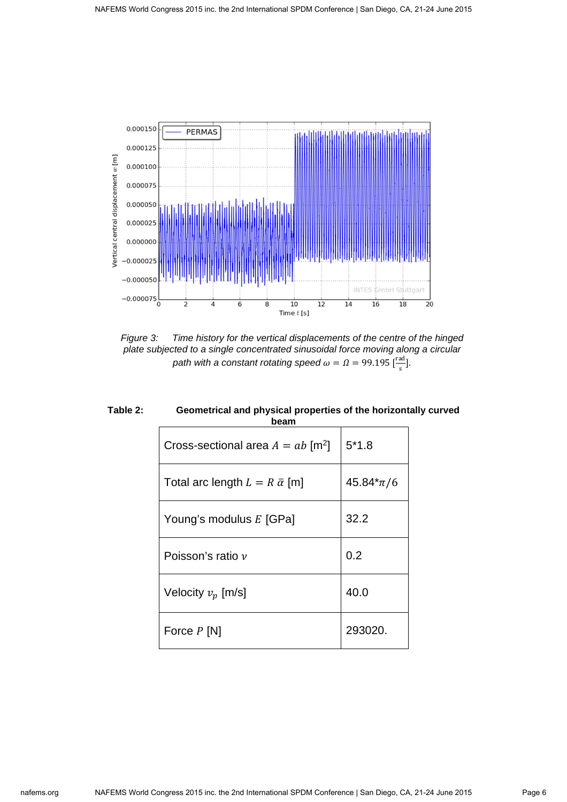

Figure 3: Time history for the vertical displacements of the centre of the hinged plate subjected to a single concentrated sinusoidal force moving along a circular path with a constant rotating speed  $\omega = \Omega = 99.195 \, [\frac{\text{rad}}{\text{s}}].$ 

| Cross-sectional area $A = ab$ [m <sup>2</sup> ] | $5*1.8$       |
|-------------------------------------------------|---------------|
| Total arc length $L = R \bar{\alpha}$ [m]       | $45.84*\pi/6$ |
| Young's modulus E [GPa]                         | 32.2          |
| Poisson's ratio $\nu$                           | 0.2           |
| Velocity $v_p$ [m/s]                            | 40.0          |
| Force $P$ [N]                                   | 293020.       |

**Table 2: Geometrical and physical properties of the horizontally curved beam**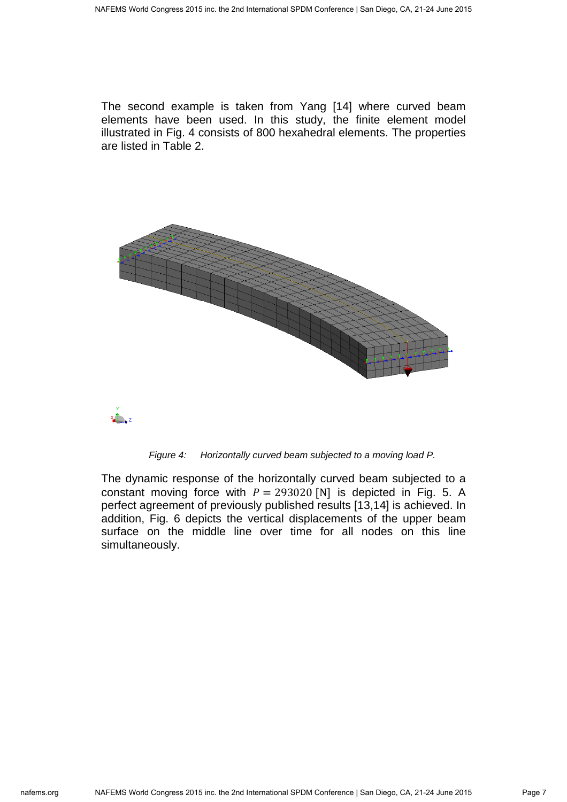The second example is taken from Yang [14] where curved beam elements have been used. In this study, the finite element model illustrated in Fig. 4 consists of 800 hexahedral elements. The properties are listed in Table 2.



Figure 4: Horizontally curved beam subjected to a moving load P.

The dynamic response of the horizontally curved beam subjected to a constant moving force with  $P = 293020$  [N] is depicted in Fig. 5. A perfect agreement of previously published results [13,14] is achieved. In addition, Fig. 6 depicts the vertical displacements of the upper beam surface on the middle line over time for all nodes on this line simultaneously.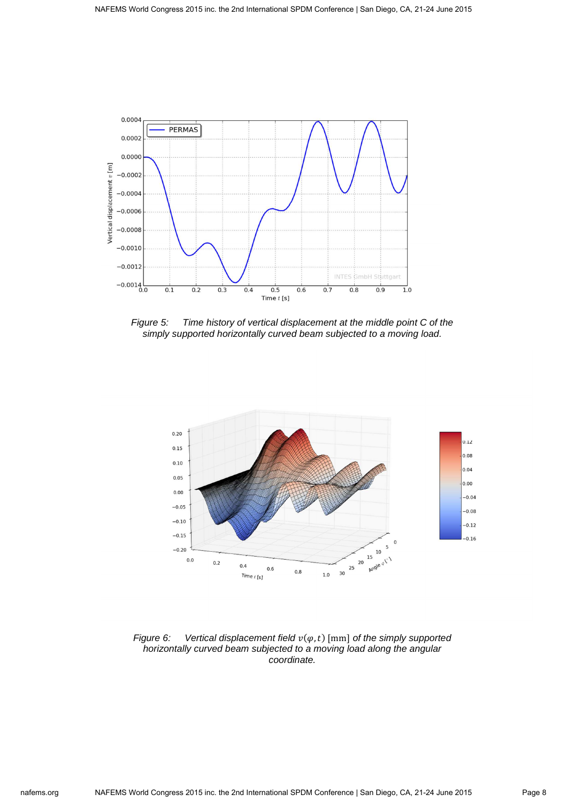

Figure 5: Time history of vertical displacement at the middle point C of the simply supported horizontally curved beam subjected to a moving load.



Figure 6: Vertical displacement field  $v(\varphi, t)$  [mm] of the simply supported horizontally curved beam subjected to a moving load along the angular coordinate.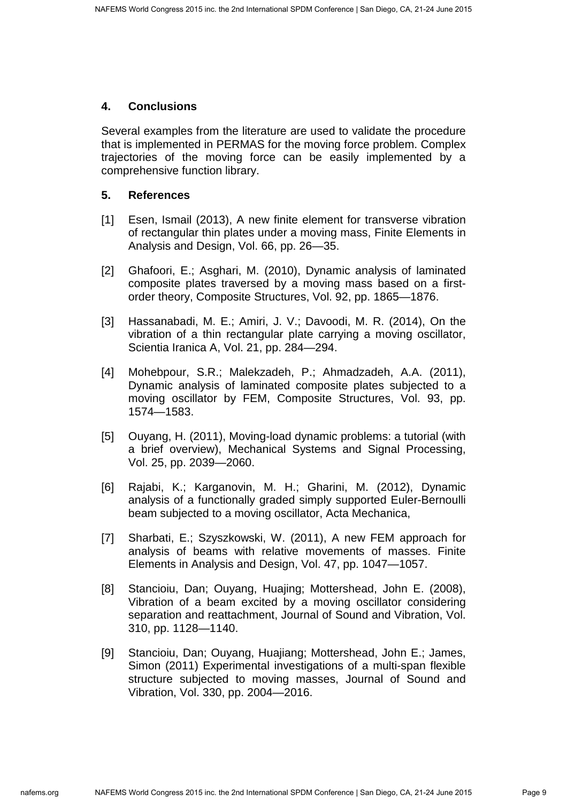#### **4. Conclusions**

Several examples from the literature are used to validate the procedure that is implemented in PERMAS for the moving force problem. Complex trajectories of the moving force can be easily implemented by a comprehensive function library.

# **5. References**

- [1] Esen, Ismail (2013), A new finite element for transverse vibration of rectangular thin plates under a moving mass, Finite Elements in Analysis and Design, Vol. 66, pp. 26—35.
- [2] Ghafoori, E.; Asghari, M. (2010), Dynamic analysis of laminated composite plates traversed by a moving mass based on a firstorder theory, Composite Structures, Vol. 92, pp. 1865—1876.
- [3] Hassanabadi, M. E.; Amiri, J. V.; Davoodi, M. R. (2014), On the vibration of a thin rectangular plate carrying a moving oscillator, Scientia Iranica A, Vol. 21, pp. 284—294.
- [4] Mohebpour, S.R.; Malekzadeh, P.; Ahmadzadeh, A.A. (2011), Dynamic analysis of laminated composite plates subjected to a moving oscillator by FEM, Composite Structures, Vol. 93, pp. 1574—1583.
- [5] Ouyang, H. (2011), Moving-load dynamic problems: a tutorial (with a brief overview), Mechanical Systems and Signal Processing, Vol. 25, pp. 2039—2060.
- [6] Rajabi, K.; Karganovin, M. H.; Gharini, M. (2012), Dynamic analysis of a functionally graded simply supported Euler-Bernoulli beam subjected to a moving oscillator, Acta Mechanica,
- [7] Sharbati, E.; Szyszkowski, W. (2011), A new FEM approach for analysis of beams with relative movements of masses. Finite Elements in Analysis and Design, Vol. 47, pp. 1047—1057.
- [8] Stancioiu, Dan; Ouyang, Huajing; Mottershead, John E. (2008), Vibration of a beam excited by a moving oscillator considering separation and reattachment, Journal of Sound and Vibration, Vol. 310, pp. 1128—1140.
- [9] Stancioiu, Dan; Ouyang, Huajiang; Mottershead, John E.; James, Simon (2011) Experimental investigations of a multi-span flexible structure subjected to moving masses, Journal of Sound and Vibration, Vol. 330, pp. 2004—2016.